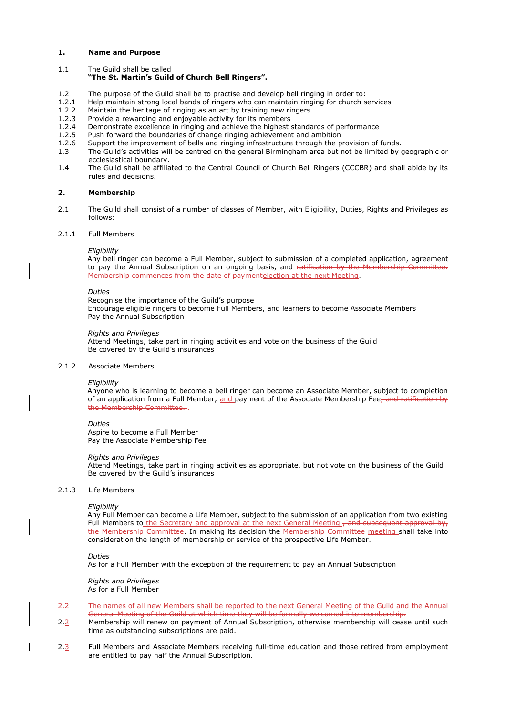### **1. Name and Purpose**

1.1 The Guild shall be called

# **"The St. Martin's Guild of Church Bell Ringers".**

- 1.2 The purpose of the Guild shall be to practise and develop bell ringing in order to:
- 1.2.1 Help maintain strong local bands of ringers who can maintain ringing for church services 1.2.2 Maintain the heritage of ringing as an art by training new ringers
- Maintain the heritage of ringing as an art by training new ringers
- 1.2.3 Provide a rewarding and enjoyable activity for its members 1.2.4 Demonstrate excellence in ringing and achieve the highest
- Demonstrate excellence in ringing and achieve the highest standards of performance
- 1.2.5 Push forward the boundaries of change ringing achievement and ambition 1.2.6 Support the improvement of bells and ringing infrastructure through the p
- Support the improvement of bells and ringing infrastructure through the provision of funds.
- 1.3 The Guild's activities will be centred on the general Birmingham area but not be limited by geographic or ecclesiastical boundary.
- 1.4 The Guild shall be affiliated to the Central Council of Church Bell Ringers (CCCBR) and shall abide by its rules and decisions.

### **2. Membership**

2.1 The Guild shall consist of a number of classes of Member, with Eligibility, Duties, Rights and Privileges as follows:

#### 2.1.1 Full Members

### *Eligibility*

Any bell ringer can become a Full Member, subject to submission of a completed application, agreement to pay the Annual Subscription on an ongoing basis, and ratification by the Membership Committee. Membership commences from the date of paymentelection at the next Meeting.

#### *Duties*

Recognise the importance of the Guild's purpose Encourage eligible ringers to become Full Members, and learners to become Associate Members Pay the Annual Subscription

#### *Rights and Privileges*

Attend Meetings, take part in ringing activities and vote on the business of the Guild Be covered by the Guild's insurances

#### 2.1.2 Associate Members

#### *Eligibility*

Anyone who is learning to become a bell ringer can become an Associate Member, subject to completion of an application from a Full Member, and payment of the Associate Membership Fee, and ratification by the Membership Committee...

#### *Duties*

#### Aspire to become a Full Member Pay the Associate Membership Fee

#### *Rights and Privileges*

Attend Meetings, take part in ringing activities as appropriate, but not vote on the business of the Guild Be covered by the Guild's insurances

#### 2.1.3 Life Members

*Eligibility*

Any Full Member can become a Life Member, subject to the submission of an application from two existing Full Members to the Secretary and approval at the next General Meeting - and subsequent approval by, the Membership Committee. In making its decision the Membership Committee meeting shall take into consideration the length of membership or service of the prospective Life Member.

*Duties*

As for a Full Member with the exception of the requirement to pay an Annual Subscription

*Rights and Privileges* As for a Full Member

- 2.2 The names of all new Members shall be reported to the next General Meeting of the Guild and the Annual General Meeting of the Guild at which time they will be formally welcomed into membership.
- 2.2 Membership will renew on payment of Annual Subscription, otherwise membership will cease until such time as outstanding subscriptions are paid.
- 2.3 Full Members and Associate Members receiving full-time education and those retired from employment are entitled to pay half the Annual Subscription.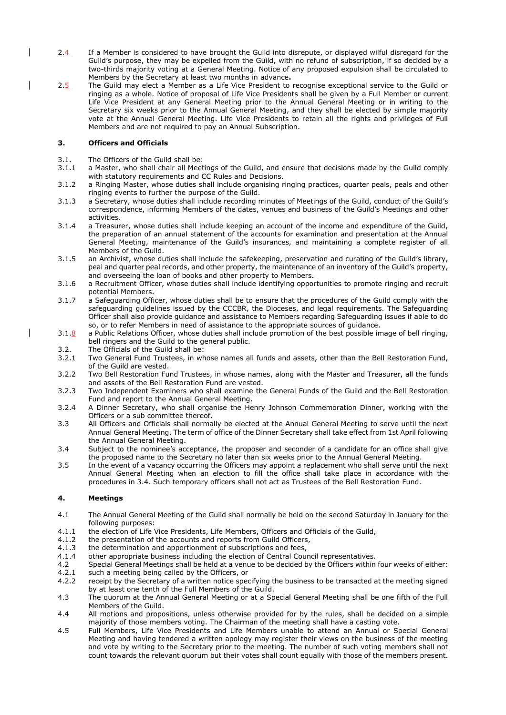- 2.4 If a Member is considered to have brought the Guild into disrepute, or displayed wilful disregard for the Guild's purpose, they may be expelled from the Guild, with no refund of subscription, if so decided by a two-thirds majority voting at a General Meeting. Notice of any proposed expulsion shall be circulated to Members by the Secretary at least two months in advance**.**
- 2.5 The Guild may elect a Member as a Life Vice President to recognise exceptional service to the Guild or ringing as a whole. Notice of proposal of Life Vice Presidents shall be given by a Full Member or current Life Vice President at any General Meeting prior to the Annual General Meeting or in writing to the Secretary six weeks prior to the Annual General Meeting, and they shall be elected by simple majority vote at the Annual General Meeting. Life Vice Presidents to retain all the rights and privileges of Full Members and are not required to pay an Annual Subscription.

# **3. Officers and Officials**

- 3.1. The Officers of the Guild shall be:
- 3.1.1 a Master, who shall chair all Meetings of the Guild, and ensure that decisions made by the Guild comply with statutory requirements and CC Rules and Decisions.
- 3.1.2 a Ringing Master, whose duties shall include organising ringing practices, quarter peals, peals and other ringing events to further the purpose of the Guild.
- 3.1.3 a Secretary, whose duties shall include recording minutes of Meetings of the Guild, conduct of the Guild's correspondence, informing Members of the dates, venues and business of the Guild's Meetings and other activities.
- 3.1.4 a Treasurer, whose duties shall include keeping an account of the income and expenditure of the Guild, the preparation of an annual statement of the accounts for examination and presentation at the Annual General Meeting, maintenance of the Guild's insurances, and maintaining a complete register of all Members of the Guild.
- 3.1.5 an Archivist, whose duties shall include the safekeeping, preservation and curating of the Guild's library, peal and quarter peal records, and other property, the maintenance of an inventory of the Guild's property, and overseeing the loan of books and other property to Members.
- 3.1.6 a Recruitment Officer, whose duties shall include identifying opportunities to promote ringing and recruit potential Members.
- 3.1.7 a Safeguarding Officer, whose duties shall be to ensure that the procedures of the Guild comply with the safeguarding guidelines issued by the CCCBR, the Dioceses, and legal requirements. The Safeguarding Officer shall also provide guidance and assistance to Members regarding Safeguarding issues if able to do so, or to refer Members in need of assistance to the appropriate sources of guidance.
- 3.1.8 a Public Relations Officer, whose duties shall include promotion of the best possible image of bell ringing, bell ringers and the Guild to the general public.
	- 3.2. The Officials of the Guild shall be:<br>3.2.1 Two General Fund Trustees, in wh
	- Two General Fund Trustees, in whose names all funds and assets, other than the Bell Restoration Fund, of the Guild are vested.
	- 3.2.2 Two Bell Restoration Fund Trustees, in whose names, along with the Master and Treasurer, all the funds and assets of the Bell Restoration Fund are vested.
	- 3.2.3 Two Independent Examiners who shall examine the General Funds of the Guild and the Bell Restoration Fund and report to the Annual General Meeting.
	- 3.2.4 A Dinner Secretary, who shall organise the Henry Johnson Commemoration Dinner, working with the Officers or a sub committee thereof.
	- 3.3 All Officers and Officials shall normally be elected at the Annual General Meeting to serve until the next Annual General Meeting. The term of office of the Dinner Secretary shall take effect from 1st April following the Annual General Meeting.
	- 3.4 Subject to the nominee's acceptance, the proposer and seconder of a candidate for an office shall give the proposed name to the Secretary no later than six weeks prior to the Annual General Meeting.
	- 3.5 In the event of a vacancy occurring the Officers may appoint a replacement who shall serve until the next Annual General Meeting when an election to fill the office shall take place in accordance with the procedures in 3.4. Such temporary officers shall not act as Trustees of the Bell Restoration Fund.

# **4. Meetings**

- 4.1 The Annual General Meeting of the Guild shall normally be held on the second Saturday in January for the following purposes:
- 4.1.1 the election of Life Vice Presidents, Life Members, Officers and Officials of the Guild,
- 4.1.2 the presentation of the accounts and reports from Guild Officers,
- 4.1.3 the determination and apportionment of subscriptions and fees,
- 4.1.4 other appropriate business including the election of Central Council representatives.
- 4.2 Special General Meetings shall be held at a venue to be decided by the Officers within four weeks of either: 4.2.1 such a meeting being called by the Officers, or
- 4.2.2 receipt by the Secretary of a written notice specifying the business to be transacted at the meeting signed by at least one tenth of the Full Members of the Guild.
- 4.3 The quorum at the Annual General Meeting or at a Special General Meeting shall be one fifth of the Full Members of the Guild.
- 4.4 All motions and propositions, unless otherwise provided for by the rules, shall be decided on a simple majority of those members voting. The Chairman of the meeting shall have a casting vote.
- 4.5 Full Members, Life Vice Presidents and Life Members unable to attend an Annual or Special General Meeting and having tendered a written apology may register their views on the business of the meeting and vote by writing to the Secretary prior to the meeting. The number of such voting members shall not count towards the relevant quorum but their votes shall count equally with those of the members present.

 $\overline{\phantom{a}}$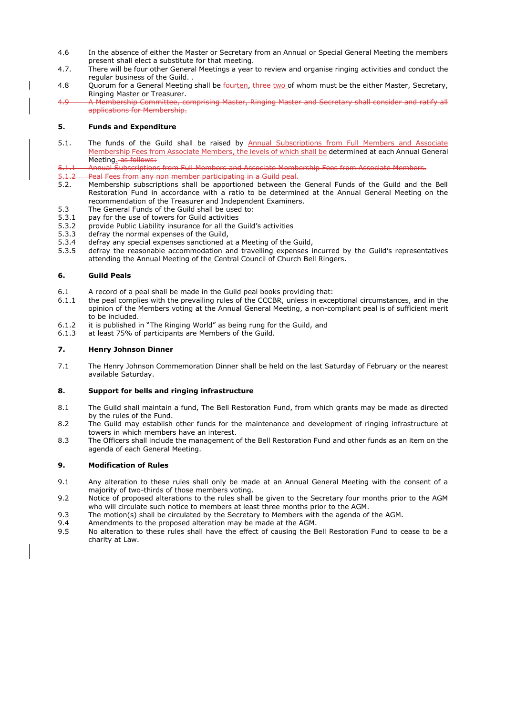- 4.6 In the absence of either the Master or Secretary from an Annual or Special General Meeting the members present shall elect a substitute for that meeting.
- 4.7. There will be four other General Meetings a year to review and organise ringing activities and conduct the regular business of the Guild. .
- 4.8 Quorum for a General Meeting shall be fourten, three-two of whom must be the either Master, Secretary, Ringing Master or Treasurer.
- 4.9 A Membership Committee, comprising Master, Ringing Master and Secretary shall consider and ratify all applications for Membership.

# **5. Funds and Expenditure**

- 5.1. The funds of the Guild shall be raised by Annual Subscriptions from Full Members and Associate Membership Fees from Associate Members, the levels of which shall be determined at each Annual General Meeting. as follows:
- 5.1.1 Annual Subscriptions from Full Members and Associate Membership Fees from Associate Members.
- 5.1.2 Peal Fees from any non member participating in a Guild peal.
- 5.2. Membership subscriptions shall be apportioned between the General Funds of the Guild and the Bell Restoration Fund in accordance with a ratio to be determined at the Annual General Meeting on the recommendation of the Treasurer and Independent Examiners.
- 5.3 The General Funds of the Guild shall be used to:
- 5.3.1 pay for the use of towers for Guild activities
- 5.3.2 provide Public Liability insurance for all the Guild's activities
- 5.3.3 defray the normal expenses of the Guild,
- 5.3.4 defray any special expenses sanctioned at a Meeting of the Guild,
- 5.3.5 defray the reasonable accommodation and travelling expenses incurred by the Guild's representatives attending the Annual Meeting of the Central Council of Church Bell Ringers.

# **6. Guild Peals**

- 6.1 A record of a peal shall be made in the Guild peal books providing that:
- 6.1.1 the peal complies with the prevailing rules of the CCCBR, unless in exceptional circumstances, and in the opinion of the Members voting at the Annual General Meeting, a non-compliant peal is of sufficient merit to be included.
- 6.1.2 it is published in "The Ringing World" as being rung for the Guild, and
- 6.1.3 at least 75% of participants are Members of the Guild.

# **7. Henry Johnson Dinner**

7.1 The Henry Johnson Commemoration Dinner shall be held on the last Saturday of February or the nearest available Saturday.

# **8. Support for bells and ringing infrastructure**

- 8.1 The Guild shall maintain a fund, The Bell Restoration Fund, from which grants may be made as directed by the rules of the Fund.
- 8.2 The Guild may establish other funds for the maintenance and development of ringing infrastructure at towers in which members have an interest.
- 8.3 The Officers shall include the management of the Bell Restoration Fund and other funds as an item on the agenda of each General Meeting.

# **9. Modification of Rules**

- 9.1 Any alteration to these rules shall only be made at an Annual General Meeting with the consent of a majority of two-thirds of those members voting.
- 9.2 Notice of proposed alterations to the rules shall be given to the Secretary four months prior to the AGM who will circulate such notice to members at least three months prior to the AGM.
- 9.3 The motion(s) shall be circulated by the Secretary to Members with the agenda of the AGM.
- 9.4 Amendments to the proposed alteration may be made at the AGM.
- 9.5 No alteration to these rules shall have the effect of causing the Bell Restoration Fund to cease to be a charity at Law.